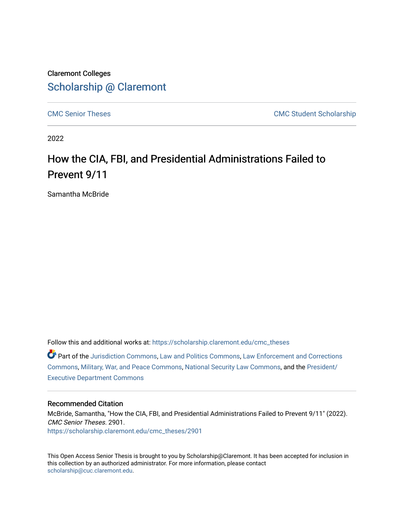### Claremont Colleges [Scholarship @ Claremont](https://scholarship.claremont.edu/)

[CMC Senior Theses](https://scholarship.claremont.edu/cmc_theses) CMC Student Scholarship

2022

# How the CIA, FBI, and Presidential Administrations Failed to Prevent 9/11

Samantha McBride

Follow this and additional works at: [https://scholarship.claremont.edu/cmc\\_theses](https://scholarship.claremont.edu/cmc_theses?utm_source=scholarship.claremont.edu%2Fcmc_theses%2F2901&utm_medium=PDF&utm_campaign=PDFCoverPages) 

Part of the [Jurisdiction Commons](http://network.bepress.com/hgg/discipline/850?utm_source=scholarship.claremont.edu%2Fcmc_theses%2F2901&utm_medium=PDF&utm_campaign=PDFCoverPages), [Law and Politics Commons,](http://network.bepress.com/hgg/discipline/867?utm_source=scholarship.claremont.edu%2Fcmc_theses%2F2901&utm_medium=PDF&utm_campaign=PDFCoverPages) [Law Enforcement and Corrections](http://network.bepress.com/hgg/discipline/854?utm_source=scholarship.claremont.edu%2Fcmc_theses%2F2901&utm_medium=PDF&utm_campaign=PDFCoverPages) [Commons](http://network.bepress.com/hgg/discipline/854?utm_source=scholarship.claremont.edu%2Fcmc_theses%2F2901&utm_medium=PDF&utm_campaign=PDFCoverPages), [Military, War, and Peace Commons,](http://network.bepress.com/hgg/discipline/861?utm_source=scholarship.claremont.edu%2Fcmc_theses%2F2901&utm_medium=PDF&utm_campaign=PDFCoverPages) [National Security Law Commons](http://network.bepress.com/hgg/discipline/1114?utm_source=scholarship.claremont.edu%2Fcmc_theses%2F2901&utm_medium=PDF&utm_campaign=PDFCoverPages), and the [President/](http://network.bepress.com/hgg/discipline/1118?utm_source=scholarship.claremont.edu%2Fcmc_theses%2F2901&utm_medium=PDF&utm_campaign=PDFCoverPages) [Executive Department Commons](http://network.bepress.com/hgg/discipline/1118?utm_source=scholarship.claremont.edu%2Fcmc_theses%2F2901&utm_medium=PDF&utm_campaign=PDFCoverPages) 

#### Recommended Citation

McBride, Samantha, "How the CIA, FBI, and Presidential Administrations Failed to Prevent 9/11" (2022). CMC Senior Theses. 2901. [https://scholarship.claremont.edu/cmc\\_theses/2901](https://scholarship.claremont.edu/cmc_theses/2901?utm_source=scholarship.claremont.edu%2Fcmc_theses%2F2901&utm_medium=PDF&utm_campaign=PDFCoverPages) 

This Open Access Senior Thesis is brought to you by Scholarship@Claremont. It has been accepted for inclusion in this collection by an authorized administrator. For more information, please contact [scholarship@cuc.claremont.edu.](mailto:scholarship@cuc.claremont.edu)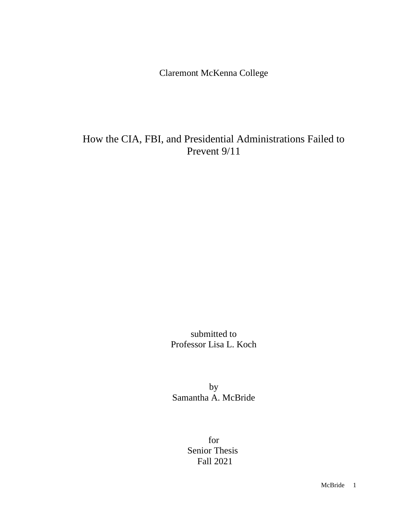Claremont McKenna College

## How the CIA, FBI, and Presidential Administrations Failed to Prevent 9/11

submitted to Professor Lisa L. Koch

by Samantha A. McBride

> for Senior Thesis Fall 2021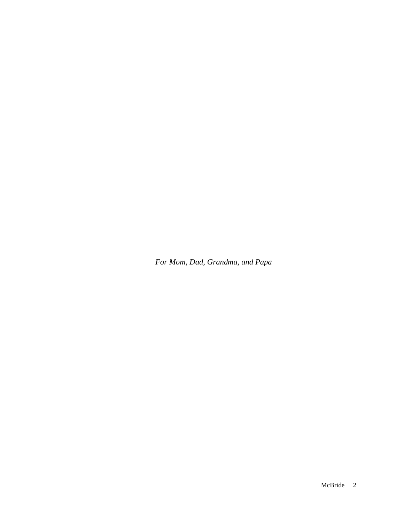*For Mom, Dad, Grandma, and Papa*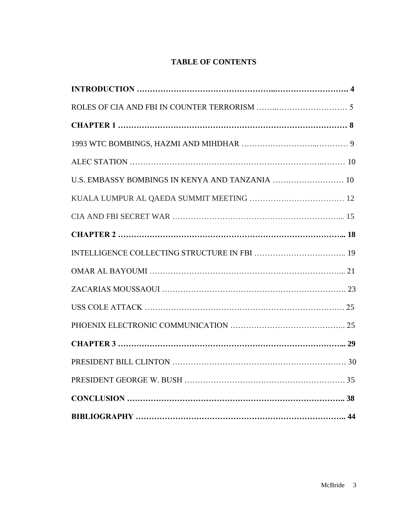### **TABLE OF CONTENTS**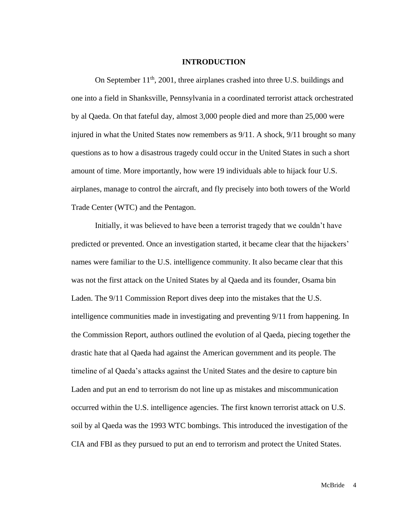#### **INTRODUCTION**

On September 11<sup>th</sup>, 2001, three airplanes crashed into three U.S. buildings and one into a field in Shanksville, Pennsylvania in a coordinated terrorist attack orchestrated by al Qaeda. On that fateful day, almost 3,000 people died and more than 25,000 were injured in what the United States now remembers as 9/11. A shock, 9/11 brought so many questions as to how a disastrous tragedy could occur in the United States in such a short amount of time. More importantly, how were 19 individuals able to hijack four U.S. airplanes, manage to control the aircraft, and fly precisely into both towers of the World Trade Center (WTC) and the Pentagon.

Initially, it was believed to have been a terrorist tragedy that we couldn't have predicted or prevented. Once an investigation started, it became clear that the hijackers' names were familiar to the U.S. intelligence community. It also became clear that this was not the first attack on the United States by al Qaeda and its founder, Osama bin Laden. The 9/11 Commission Report dives deep into the mistakes that the U.S. intelligence communities made in investigating and preventing 9/11 from happening. In the Commission Report, authors outlined the evolution of al Qaeda, piecing together the drastic hate that al Qaeda had against the American government and its people. The timeline of al Qaeda's attacks against the United States and the desire to capture bin Laden and put an end to terrorism do not line up as mistakes and miscommunication occurred within the U.S. intelligence agencies. The first known terrorist attack on U.S. soil by al Qaeda was the 1993 WTC bombings. This introduced the investigation of the CIA and FBI as they pursued to put an end to terrorism and protect the United States.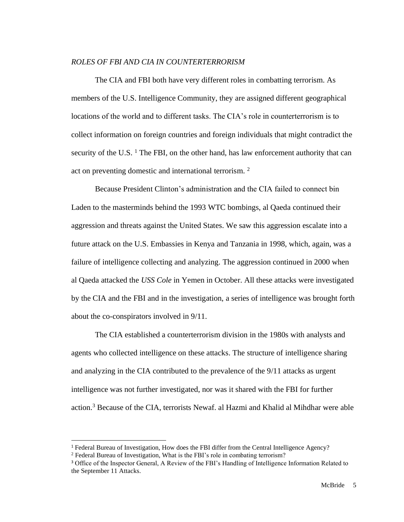#### *ROLES OF FBI AND CIA IN COUNTERTERRORISM*

The CIA and FBI both have very different roles in combatting terrorism. As members of the U.S. Intelligence Community, they are assigned different geographical locations of the world and to different tasks. The CIA's role in counterterrorism is to collect information on foreign countries and foreign individuals that might contradict the security of the U.S.  $<sup>1</sup>$  The FBI, on the other hand, has law enforcement authority that can</sup> act on preventing domestic and international terrorism. <sup>2</sup>

Because President Clinton's administration and the CIA failed to connect bin Laden to the masterminds behind the 1993 WTC bombings, al Qaeda continued their aggression and threats against the United States. We saw this aggression escalate into a future attack on the U.S. Embassies in Kenya and Tanzania in 1998, which, again, was a failure of intelligence collecting and analyzing. The aggression continued in 2000 when al Qaeda attacked the *USS Cole* in Yemen in October. All these attacks were investigated by the CIA and the FBI and in the investigation, a series of intelligence was brought forth about the co-conspirators involved in 9/11.

The CIA established a counterterrorism division in the 1980s with analysts and agents who collected intelligence on these attacks. The structure of intelligence sharing and analyzing in the CIA contributed to the prevalence of the 9/11 attacks as urgent intelligence was not further investigated, nor was it shared with the FBI for further action. <sup>3</sup> Because of the CIA, terrorists Newaf. al Hazmi and Khalid al Mihdhar were able

<sup>1</sup> Federal Bureau of Investigation, How does the FBI differ from the Central Intelligence Agency?

<sup>&</sup>lt;sup>2</sup> Federal Bureau of Investigation, What is the FBI's role in combating terrorism?

<sup>3</sup> Office of the Inspector General, A Review of the FBI's Handling of Intelligence Information Related to the September 11 Attacks.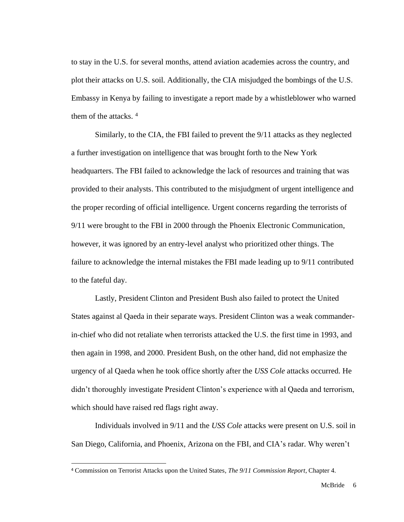to stay in the U.S. for several months, attend aviation academies across the country, and plot their attacks on U.S. soil. Additionally, the CIA misjudged the bombings of the U.S. Embassy in Kenya by failing to investigate a report made by a whistleblower who warned them of the attacks.<sup>4</sup>

Similarly, to the CIA, the FBI failed to prevent the 9/11 attacks as they neglected a further investigation on intelligence that was brought forth to the New York headquarters. The FBI failed to acknowledge the lack of resources and training that was provided to their analysts. This contributed to the misjudgment of urgent intelligence and the proper recording of official intelligence. Urgent concerns regarding the terrorists of 9/11 were brought to the FBI in 2000 through the Phoenix Electronic Communication, however, it was ignored by an entry-level analyst who prioritized other things. The failure to acknowledge the internal mistakes the FBI made leading up to 9/11 contributed to the fateful day.

Lastly, President Clinton and President Bush also failed to protect the United States against al Qaeda in their separate ways. President Clinton was a weak commanderin-chief who did not retaliate when terrorists attacked the U.S. the first time in 1993, and then again in 1998, and 2000. President Bush, on the other hand, did not emphasize the urgency of al Qaeda when he took office shortly after the *USS Cole* attacks occurred. He didn't thoroughly investigate President Clinton's experience with al Qaeda and terrorism, which should have raised red flags right away.

Individuals involved in 9/11 and the *USS Cole* attacks were present on U.S. soil in San Diego, California, and Phoenix, Arizona on the FBI, and CIA's radar. Why weren't

<sup>4</sup> Commission on Terrorist Attacks upon the United States, *The 9/11 Commission Report*, Chapter 4.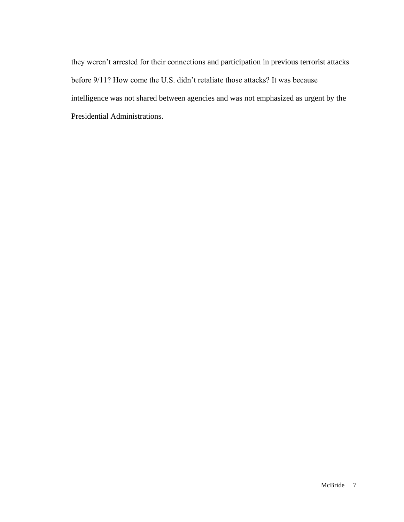they weren't arrested for their connections and participation in previous terrorist attacks before 9/11? How come the U.S. didn't retaliate those attacks? It was because intelligence was not shared between agencies and was not emphasized as urgent by the Presidential Administrations.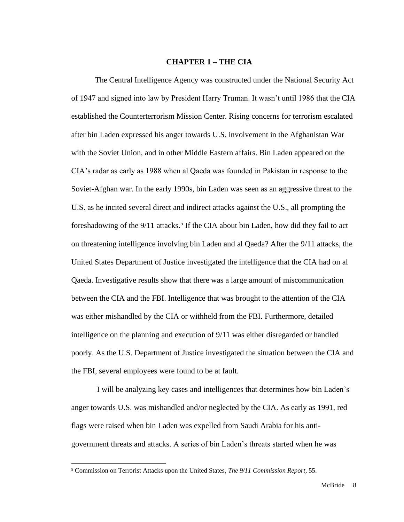#### **CHAPTER 1 – THE CIA**

The Central Intelligence Agency was constructed under the National Security Act of 1947 and signed into law by President Harry Truman. It wasn't until 1986 that the CIA established the Counterterrorism Mission Center. Rising concerns for terrorism escalated after bin Laden expressed his anger towards U.S. involvement in the Afghanistan War with the Soviet Union, and in other Middle Eastern affairs. Bin Laden appeared on the CIA's radar as early as 1988 when al Qaeda was founded in Pakistan in response to the Soviet-Afghan war. In the early 1990s, bin Laden was seen as an aggressive threat to the U.S. as he incited several direct and indirect attacks against the U.S., all prompting the foreshadowing of the 9/11 attacks.<sup>5</sup> If the CIA about bin Laden, how did they fail to act on threatening intelligence involving bin Laden and al Qaeda? After the 9/11 attacks, the United States Department of Justice investigated the intelligence that the CIA had on al Qaeda. Investigative results show that there was a large amount of miscommunication between the CIA and the FBI. Intelligence that was brought to the attention of the CIA was either mishandled by the CIA or withheld from the FBI. Furthermore, detailed intelligence on the planning and execution of 9/11 was either disregarded or handled poorly. As the U.S. Department of Justice investigated the situation between the CIA and the FBI, several employees were found to be at fault.

I will be analyzing key cases and intelligences that determines how bin Laden's anger towards U.S. was mishandled and/or neglected by the CIA. As early as 1991, red flags were raised when bin Laden was expelled from Saudi Arabia for his antigovernment threats and attacks. A series of bin Laden's threats started when he was

<sup>5</sup> Commission on Terrorist Attacks upon the United States, *The 9/11 Commission Report*, 55.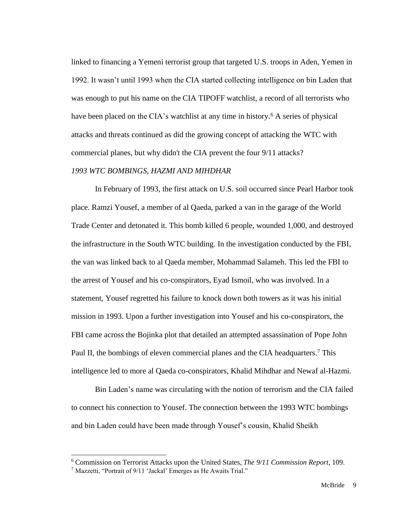linked to financing a Yemeni terrorist group that targeted U.S. troops in Aden, Yemen in 1992. It wasn't until 1993 when the CIA started collecting intelligence on bin Laden that was enough to put his name on the CIA TIPOFF watchlist, a record of all terrorists who have been placed on the CIA's watchlist at any time in history.<sup>6</sup> A series of physical attacks and threats continued as did the growing concept of attacking the WTC with commercial planes, but why didn't the CIA prevent the four 9/11 attacks?

#### *1993 WTC BOMBINGS, HAZMI AND MIHDHAR*

In February of 1993, the first attack on U.S. soil occurred since Pearl Harbor took place. Ramzi Yousef, a member of al Qaeda, parked a van in the garage of the World Trade Center and detonated it. This bomb killed 6 people, wounded 1,000, and destroyed the infrastructure in the South WTC building. In the investigation conducted by the FBI, the van was linked back to al Qaeda member, Mohammad Salameh. This led the FBI to the arrest of Yousef and his co-conspirators, Eyad Ismoil, who was involved. In a statement, Yousef regretted his failure to knock down both towers as it was his initial mission in 1993. Upon a further investigation into Yousef and his co-conspirators, the FBI came across the Bojinka plot that detailed an attempted assassination of Pope John Paul II, the bombings of eleven commercial planes and the CIA headquarters.<sup>7</sup> This intelligence led to more al Qaeda co-conspirators, Khalid Mihdhar and Newaf al-Hazmi.

Bin Laden's name was circulating with the notion of terrorism and the CIA failed to connect his connection to Yousef. The connection between the 1993 WTC bombings and bin Laden could have been made through Yousef's cousin, Khalid Sheikh

<sup>6</sup> Commission on Terrorist Attacks upon the United States, *The 9/11 Commission Report*, 109.

 $<sup>7</sup>$  Mazzetti, "Portrait of 9/11 'Jackal' Emerges as He Awaits Trial."</sup>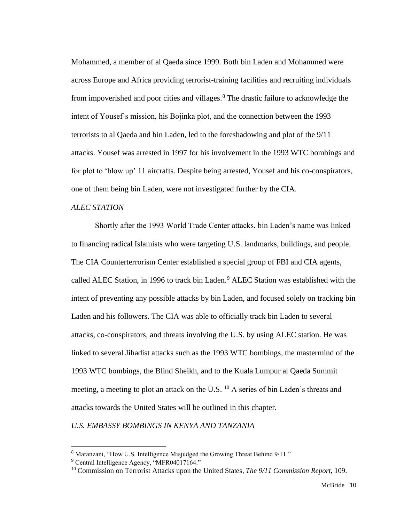Mohammed, a member of al Qaeda since 1999. Both bin Laden and Mohammed were across Europe and Africa providing terrorist-training facilities and recruiting individuals from impoverished and poor cities and villages.<sup>8</sup> The drastic failure to acknowledge the intent of Yousef's mission, his Bojinka plot, and the connection between the 1993 terrorists to al Qaeda and bin Laden, led to the foreshadowing and plot of the 9/11 attacks. Yousef was arrested in 1997 for his involvement in the 1993 WTC bombings and for plot to 'blow up' 11 aircrafts. Despite being arrested, Yousef and his co-conspirators, one of them being bin Laden, were not investigated further by the CIA.

#### *ALEC STATION*

Shortly after the 1993 World Trade Center attacks, bin Laden's name was linked to financing radical Islamists who were targeting U.S. landmarks, buildings, and people. The CIA Counterterrorism Center established a special group of FBI and CIA agents, called ALEC Station, in 1996 to track bin Laden.<sup>9</sup> ALEC Station was established with the intent of preventing any possible attacks by bin Laden, and focused solely on tracking bin Laden and his followers. The CIA was able to officially track bin Laden to several attacks, co-conspirators, and threats involving the U.S. by using ALEC station. He was linked to several Jihadist attacks such as the 1993 WTC bombings, the mastermind of the 1993 WTC bombings, the Blind Sheikh, and to the Kuala Lumpur al Qaeda Summit meeting, a meeting to plot an attack on the U.S. <sup>10</sup> A series of bin Laden's threats and attacks towards the United States will be outlined in this chapter.

*U.S. EMBASSY BOMBINGS IN KENYA AND TANZANIA*

<sup>8</sup> Maranzani, "How U.S. Intelligence Misjudged the Growing Threat Behind 9/11."

<sup>&</sup>lt;sup>9</sup> Central Intelligence Agency, "MFR04017164."

<sup>10</sup> Commission on Terrorist Attacks upon the United States, *The 9/11 Commission Report*, 109.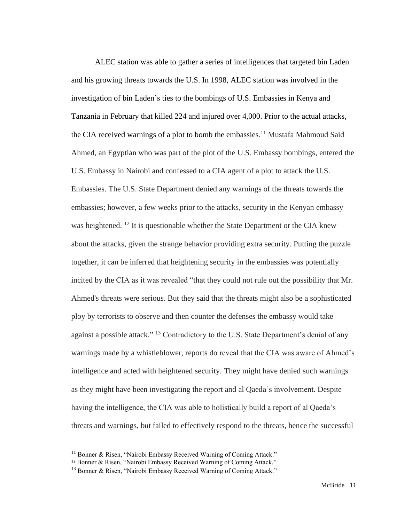ALEC station was able to gather a series of intelligences that targeted bin Laden and his growing threats towards the U.S. In 1998, ALEC station was involved in the investigation of bin Laden's ties to the bombings of U.S. Embassies in Kenya and Tanzania in February that killed 224 and injured over 4,000. Prior to the actual attacks, the CIA received warnings of a plot to bomb the embassies.<sup>11</sup> Mustafa Mahmoud Said Ahmed, an Egyptian who was part of the plot of the U.S. Embassy bombings, entered the U.S. Embassy in Nairobi and confessed to a CIA agent of a plot to attack the U.S. Embassies. The U.S. State Department denied any warnings of the threats towards the embassies; however, a few weeks prior to the attacks, security in the Kenyan embassy was heightened. <sup>12</sup> It is questionable whether the State Department or the CIA knew about the attacks, given the strange behavior providing extra security. Putting the puzzle together, it can be inferred that heightening security in the embassies was potentially incited by the CIA as it was revealed "that they could not rule out the possibility that Mr. Ahmed's threats were serious. But they said that the threats might also be a sophisticated ploy by terrorists to observe and then counter the defenses the embassy would take against a possible attack." <sup>13</sup> Contradictory to the U.S. State Department's denial of any warnings made by a whistleblower, reports do reveal that the CIA was aware of Ahmed's intelligence and acted with heightened security. They might have denied such warnings as they might have been investigating the report and al Qaeda's involvement. Despite having the intelligence, the CIA was able to holistically build a report of al Qaeda's threats and warnings, but failed to effectively respond to the threats, hence the successful

 $11$  Bonner & Risen, "Nairobi Embassy Received Warning of Coming Attack."

<sup>12</sup> Bonner & Risen, "Nairobi Embassy Received Warning of Coming Attack."

<sup>&</sup>lt;sup>13</sup> Bonner & Risen, "Nairobi Embassy Received Warning of Coming Attack."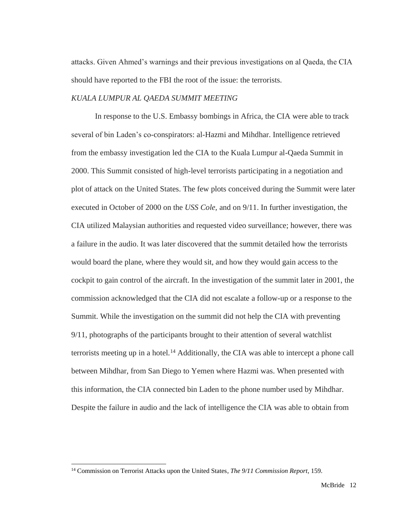attacks. Given Ahmed's warnings and their previous investigations on al Qaeda, the CIA should have reported to the FBI the root of the issue: the terrorists.

#### *KUALA LUMPUR AL QAEDA SUMMIT MEETING*

In response to the U.S. Embassy bombings in Africa, the CIA were able to track several of bin Laden's co-conspirators: al-Hazmi and Mihdhar. Intelligence retrieved from the embassy investigation led the CIA to the Kuala Lumpur al-Qaeda Summit in 2000. This Summit consisted of high-level terrorists participating in a negotiation and plot of attack on the United States. The few plots conceived during the Summit were later executed in October of 2000 on the *USS Cole,* and on 9/11. In further investigation, the CIA utilized Malaysian authorities and requested video surveillance; however, there was a failure in the audio. It was later discovered that the summit detailed how the terrorists would board the plane, where they would sit, and how they would gain access to the cockpit to gain control of the aircraft. In the investigation of the summit later in 2001, the commission acknowledged that the CIA did not escalate a follow-up or a response to the Summit. While the investigation on the summit did not help the CIA with preventing 9/11, photographs of the participants brought to their attention of several watchlist terrorists meeting up in a hotel.<sup>14</sup> Additionally, the CIA was able to intercept a phone call between Mihdhar, from San Diego to Yemen where Hazmi was. When presented with this information, the CIA connected bin Laden to the phone number used by Mihdhar. Despite the failure in audio and the lack of intelligence the CIA was able to obtain from

<sup>14</sup> Commission on Terrorist Attacks upon the United States, *The 9/11 Commission Report*, 159.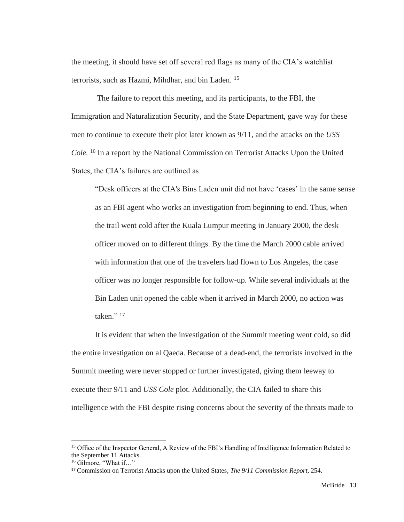the meeting, it should have set off several red flags as many of the CIA's watchlist terrorists, such as Hazmi, Mihdhar, and bin Laden. 15

The failure to report this meeting, and its participants, to the FBI, the Immigration and Naturalization Security, and the State Department, gave way for these men to continue to execute their plot later known as 9/11, and the attacks on the *USS Cole.* <sup>16</sup> In a report by the National Commission on Terrorist Attacks Upon the United States, the CIA's failures are outlined as

"Desk officers at the CIA's Bins Laden unit did not have 'cases' in the same sense as an FBI agent who works an investigation from beginning to end. Thus, when the trail went cold after the Kuala Lumpur meeting in January 2000, the desk officer moved on to different things. By the time the March 2000 cable arrived with information that one of the travelers had flown to Los Angeles, the case officer was no longer responsible for follow-up. While several individuals at the Bin Laden unit opened the cable when it arrived in March 2000, no action was taken." $17$ 

It is evident that when the investigation of the Summit meeting went cold, so did the entire investigation on al Qaeda. Because of a dead-end, the terrorists involved in the Summit meeting were never stopped or further investigated, giving them leeway to execute their 9/11 and *USS Cole* plot. Additionally, the CIA failed to share this intelligence with the FBI despite rising concerns about the severity of the threats made to

<sup>&</sup>lt;sup>15</sup> Office of the Inspector General, A Review of the FBI's Handling of Intelligence Information Related to the September 11 Attacks.

<sup>16</sup> Gilmore, "What if…"

<sup>17</sup> Commission on Terrorist Attacks upon the United States, *The 9/11 Commission Report*, 254.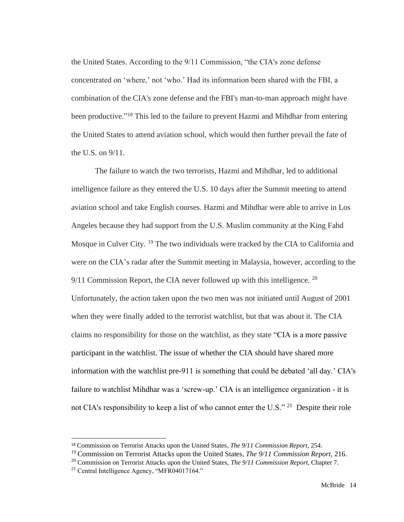the United States. According to the 9/11 Commission, "the CIA's zone defense concentrated on 'where,' not 'who.' Had its information been shared with the FBI, a combination of the CIA's zone defense and the FBI's man-to-man approach might have been productive."<sup>18</sup> This led to the failure to prevent Hazmi and Mihdhar from entering the United States to attend aviation school, which would then further prevail the fate of the U.S. on 9/11.

The failure to watch the two terrorists, Hazmi and Mihdhar, led to additional intelligence failure as they entered the U.S. 10 days after the Summit meeting to attend aviation school and take English courses. Hazmi and Mihdhar were able to arrive in Los Angeles because they had support from the U.S. Muslim community at the King Fahd Mosque in Culver City. <sup>19</sup> The two individuals were tracked by the CIA to California and were on the CIA's radar after the Summit meeting in Malaysia, however, according to the  $9/11$  Commission Report, the CIA never followed up with this intelligence. <sup>20</sup> Unfortunately, the action taken upon the two men was not initiated until August of 2001 when they were finally added to the terrorist watchlist, but that was about it. The CIA claims no responsibility for those on the watchlist, as they state "CIA is a more passive participant in the watchlist. The issue of whether the CIA should have shared more information with the watchlist pre-911 is something that could be debated 'all day.' CIA's failure to watchlist Mihdhar was a 'screw-up.' CIA is an intelligence organization - it is not CIA's responsibility to keep a list of who cannot enter the U.S." <sup>21</sup> Despite their role

<sup>18</sup> Commission on Terrorist Attacks upon the United States, *The 9/11 Commission Report*, 254.

<sup>19</sup> Commission on Terrorist Attacks upon the United States, *The 9/11 Commission Report*, 216.

<sup>20</sup> Commission on Terrorist Attacks upon the United States, *The 9/11 Commission Report*, Chapter 7.

 $21$  Central Intelligence Agency, "MFR04017164."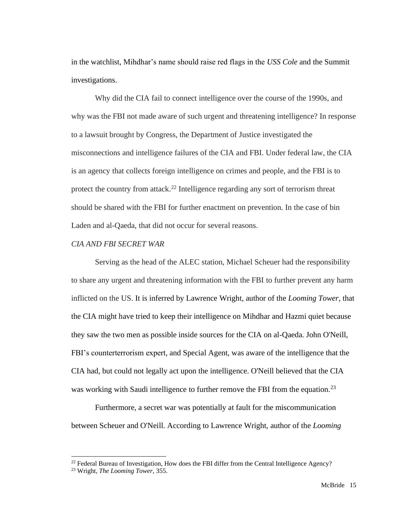in the watchlist, Mihdhar's name should raise red flags in the *USS Cole* and the Summit investigations.

Why did the CIA fail to connect intelligence over the course of the 1990s, and why was the FBI not made aware of such urgent and threatening intelligence? In response to a lawsuit brought by Congress, the Department of Justice investigated the misconnections and intelligence failures of the CIA and FBI. Under federal law, the CIA is an agency that collects foreign intelligence on crimes and people, and the FBI is to protect the country from attack.<sup>22</sup> Intelligence regarding any sort of terrorism threat should be shared with the FBI for further enactment on prevention. In the case of bin Laden and al-Qaeda, that did not occur for several reasons.

#### *CIA AND FBI SECRET WAR*

Serving as the head of the ALEC station, Michael Scheuer had the responsibility to share any urgent and threatening information with the FBI to further prevent any harm inflicted on the US. It is inferred by Lawrence Wright, author of the *Looming Tower,* that the CIA might have tried to keep their intelligence on Mihdhar and Hazmi quiet because they saw the two men as possible inside sources for the CIA on al-Qaeda. John O'Neill, FBI's counterterrorism expert, and Special Agent, was aware of the intelligence that the CIA had, but could not legally act upon the intelligence. O'Neill believed that the CIA was working with Saudi intelligence to further remove the FBI from the equation.<sup>23</sup>

Furthermore, a secret war was potentially at fault for the miscommunication between Scheuer and O'Neill. According to Lawrence Wright, author of the *Looming* 

<sup>&</sup>lt;sup>22</sup> Federal Bureau of Investigation, How does the FBI differ from the Central Intelligence Agency?

<sup>23</sup> Wright, *The Looming Tower*, 355.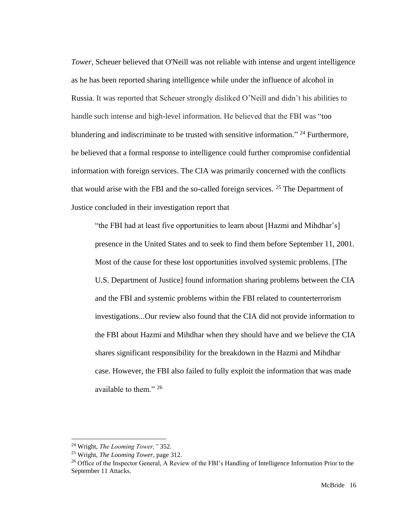*Tower,* Scheuer believed that O'Neill was not reliable with intense and urgent intelligence as he has been reported sharing intelligence while under the influence of alcohol in Russia. It was reported that Scheuer strongly disliked O'Neill and didn't his abilities to handle such intense and high-level information. He believed that the FBI was "too blundering and indiscriminate to be trusted with sensitive information." <sup>24</sup> Furthermore, he believed that a formal response to intelligence could further compromise confidential information with foreign services. The CIA was primarily concerned with the conflicts that would arise with the FBI and the so-called foreign services. <sup>25</sup> The Department of Justice concluded in their investigation report that

"the FBI had at least five opportunities to learn about [Hazmi and Mihdhar's] presence in the United States and to seek to find them before September 11, 2001. Most of the cause for these lost opportunities involved systemic problems. [The U.S. Department of Justice] found information sharing problems between the CIA and the FBI and systemic problems within the FBI related to counterterrorism investigations...Our review also found that the CIA did not provide information to the FBI about Hazmi and Mihdhar when they should have and we believe the CIA shares significant responsibility for the breakdown in the Hazmi and Mihdhar case. However, the FBI also failed to fully exploit the information that was made available to them." <sup>26</sup>

<sup>24</sup> Wright, *The Looming Tower,"* 352.

<sup>25</sup> Wright, *The Looming Tower,* page 312.

<sup>&</sup>lt;sup>26</sup> Office of the Inspector General, A Review of the FBI's Handling of Intelligence Information Prior to the September 11 Attacks.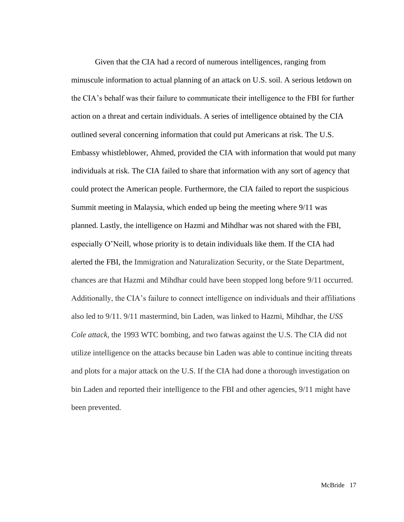Given that the CIA had a record of numerous intelligences, ranging from minuscule information to actual planning of an attack on U.S. soil. A serious letdown on the CIA's behalf was their failure to communicate their intelligence to the FBI for further action on a threat and certain individuals. A series of intelligence obtained by the CIA outlined several concerning information that could put Americans at risk. The U.S. Embassy whistleblower, Ahmed, provided the CIA with information that would put many individuals at risk. The CIA failed to share that information with any sort of agency that could protect the American people. Furthermore, the CIA failed to report the suspicious Summit meeting in Malaysia, which ended up being the meeting where 9/11 was planned. Lastly, the intelligence on Hazmi and Mihdhar was not shared with the FBI, especially O'Neill, whose priority is to detain individuals like them. If the CIA had alerted the FBI, the Immigration and Naturalization Security, or the State Department, chances are that Hazmi and Mihdhar could have been stopped long before 9/11 occurred. Additionally, the CIA's failure to connect intelligence on individuals and their affiliations also led to 9/11. 9/11 mastermind, bin Laden, was linked to Hazmi, Mihdhar, the *USS Cole attack,* the 1993 WTC bombing, and two fatwas against the U.S. The CIA did not utilize intelligence on the attacks because bin Laden was able to continue inciting threats and plots for a major attack on the U.S. If the CIA had done a thorough investigation on bin Laden and reported their intelligence to the FBI and other agencies, 9/11 might have been prevented.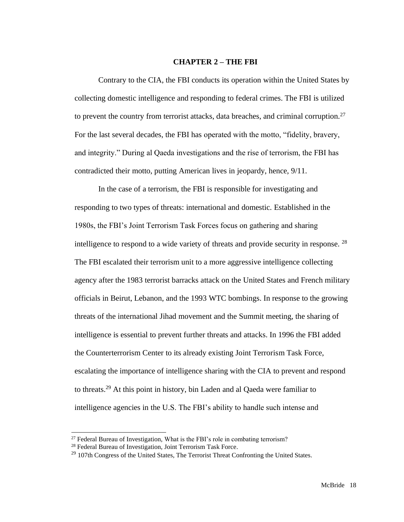#### **CHAPTER 2 – THE FBI**

Contrary to the CIA, the FBI conducts its operation within the United States by collecting domestic intelligence and responding to federal crimes. The FBI is utilized to prevent the country from terrorist attacks, data breaches, and criminal corruption.<sup>27</sup> For the last several decades, the FBI has operated with the motto, "fidelity, bravery, and integrity." During al Qaeda investigations and the rise of terrorism, the FBI has contradicted their motto, putting American lives in jeopardy, hence, 9/11.

In the case of a terrorism, the FBI is responsible for investigating and responding to two types of threats: international and domestic. Established in the 1980s, the FBI's Joint Terrorism Task Forces focus on gathering and sharing intelligence to respond to a wide variety of threats and provide security in response. <sup>28</sup> The FBI escalated their terrorism unit to a more aggressive intelligence collecting agency after the 1983 terrorist barracks attack on the United States and French military officials in Beirut, Lebanon, and the 1993 WTC bombings. In response to the growing threats of the international Jihad movement and the Summit meeting, the sharing of intelligence is essential to prevent further threats and attacks. In 1996 the FBI added the Counterterrorism Center to its already existing Joint Terrorism Task Force, escalating the importance of intelligence sharing with the CIA to prevent and respond to threats.<sup>29</sup> At this point in history, bin Laden and al Qaeda were familiar to intelligence agencies in the U.S. The FBI's ability to handle such intense and

 $27$  Federal Bureau of Investigation, What is the FBI's role in combating terrorism?

<sup>28</sup> Federal Bureau of Investigation, Joint Terrorism Task Force.

 $29$  107th Congress of the United States, The Terrorist Threat Confronting the United States.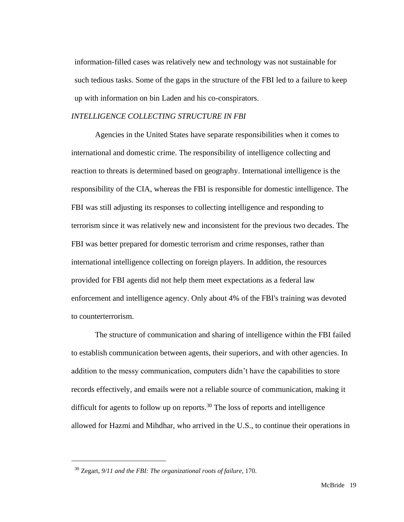information-filled cases was relatively new and technology was not sustainable for such tedious tasks. Some of the gaps in the structure of the FBI led to a failure to keep up with information on bin Laden and his co-conspirators.

#### *INTELLIGENCE COLLECTING STRUCTURE IN FBI*

Agencies in the United States have separate responsibilities when it comes to international and domestic crime. The responsibility of intelligence collecting and reaction to threats is determined based on geography. International intelligence is the responsibility of the CIA, whereas the FBI is responsible for domestic intelligence. The FBI was still adjusting its responses to collecting intelligence and responding to terrorism since it was relatively new and inconsistent for the previous two decades. The FBI was better prepared for domestic terrorism and crime responses, rather than international intelligence collecting on foreign players. In addition, the resources provided for FBI agents did not help them meet expectations as a federal law enforcement and intelligence agency. Only about 4% of the FBI's training was devoted to counterterrorism.

The structure of communication and sharing of intelligence within the FBI failed to establish communication between agents, their superiors, and with other agencies. In addition to the messy communication, computers didn't have the capabilities to store records effectively, and emails were not a reliable source of communication, making it difficult for agents to follow up on reports.<sup>30</sup> The loss of reports and intelligence allowed for Hazmi and Mihdhar, who arrived in the U.S., to continue their operations in

<sup>30</sup> Zegart, *9/11 and the FBI: The organizational roots of failure,* 170.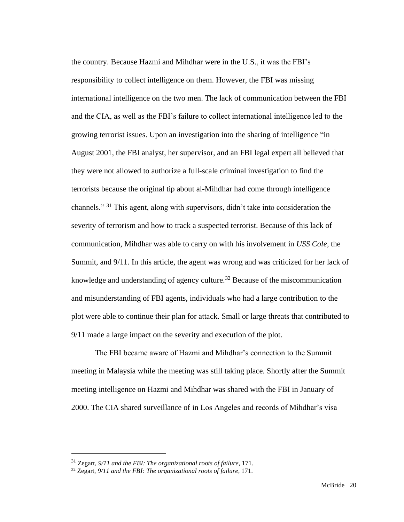the country. Because Hazmi and Mihdhar were in the U.S., it was the FBI's responsibility to collect intelligence on them. However, the FBI was missing international intelligence on the two men. The lack of communication between the FBI and the CIA, as well as the FBI's failure to collect international intelligence led to the growing terrorist issues. Upon an investigation into the sharing of intelligence "in August 2001, the FBI analyst, her supervisor, and an FBI legal expert all believed that they were not allowed to authorize a full-scale criminal investigation to find the terrorists because the original tip about al-Mihdhar had come through intelligence channels." <sup>31</sup> This agent, along with supervisors, didn't take into consideration the severity of terrorism and how to track a suspected terrorist. Because of this lack of communication, Mihdhar was able to carry on with his involvement in *USS Cole,* the Summit, and 9/11. In this article, the agent was wrong and was criticized for her lack of knowledge and understanding of agency culture.<sup>32</sup> Because of the miscommunication and misunderstanding of FBI agents, individuals who had a large contribution to the plot were able to continue their plan for attack. Small or large threats that contributed to 9/11 made a large impact on the severity and execution of the plot.

The FBI became aware of Hazmi and Mihdhar's connection to the Summit meeting in Malaysia while the meeting was still taking place. Shortly after the Summit meeting intelligence on Hazmi and Mihdhar was shared with the FBI in January of 2000. The CIA shared surveillance of in Los Angeles and records of Mihdhar's visa

<sup>31</sup> Zegart, *9/11 and the FBI: The organizational roots of failure,* 171.

<sup>32</sup> Zegart, *9/11 and the FBI: The organizational roots of failure,* 171.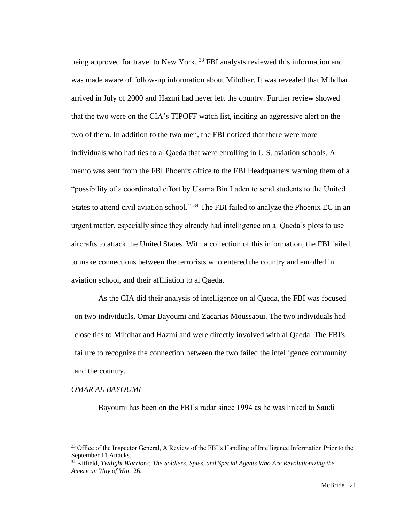being approved for travel to New York.<sup>33</sup> FBI analysts reviewed this information and was made aware of follow-up information about Mihdhar. It was revealed that Mihdhar arrived in July of 2000 and Hazmi had never left the country. Further review showed that the two were on the CIA's TIPOFF watch list, inciting an aggressive alert on the two of them. In addition to the two men, the FBI noticed that there were more individuals who had ties to al Qaeda that were enrolling in U.S. aviation schools. A memo was sent from the FBI Phoenix office to the FBI Headquarters warning them of a "possibility of a coordinated effort by Usama Bin Laden to send students to the United States to attend civil aviation school." <sup>34</sup> The FBI failed to analyze the Phoenix EC in an urgent matter, especially since they already had intelligence on al Qaeda's plots to use aircrafts to attack the United States. With a collection of this information, the FBI failed to make connections between the terrorists who entered the country and enrolled in aviation school, and their affiliation to al Qaeda.

As the CIA did their analysis of intelligence on al Qaeda, the FBI was focused on two individuals, Omar Bayoumi and Zacarias Moussaoui. The two individuals had close ties to Mihdhar and Hazmi and were directly involved with al Qaeda. The FBI's failure to recognize the connection between the two failed the intelligence community and the country.

#### *OMAR AL BAYOUMI*

Bayoumi has been on the FBI's radar since 1994 as he was linked to Saudi

<sup>&</sup>lt;sup>33</sup> Office of the Inspector General, A Review of the FBI's Handling of Intelligence Information Prior to the September 11 Attacks.

<sup>34</sup> Kitfield, *Twilight Warriors: The Soldiers, Spies, and Special Agents Who Are Revolutionizing the American Way of War,* 26.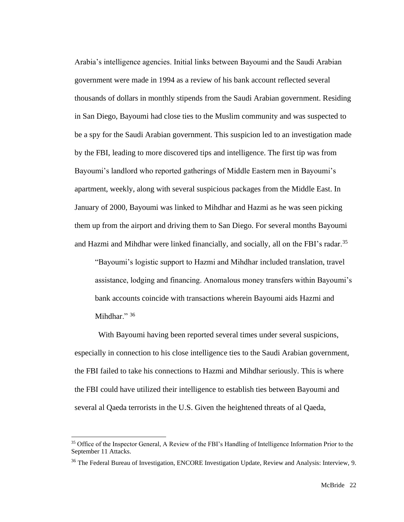Arabia's intelligence agencies. Initial links between Bayoumi and the Saudi Arabian government were made in 1994 as a review of his bank account reflected several thousands of dollars in monthly stipends from the Saudi Arabian government. Residing in San Diego, Bayoumi had close ties to the Muslim community and was suspected to be a spy for the Saudi Arabian government. This suspicion led to an investigation made by the FBI, leading to more discovered tips and intelligence. The first tip was from Bayoumi's landlord who reported gatherings of Middle Eastern men in Bayoumi's apartment, weekly, along with several suspicious packages from the Middle East. In January of 2000, Bayoumi was linked to Mihdhar and Hazmi as he was seen picking them up from the airport and driving them to San Diego. For several months Bayoumi and Hazmi and Mihdhar were linked financially, and socially, all on the FBI's radar.<sup>35</sup>

"Bayoumi's logistic support to Hazmi and Mihdhar included translation, travel assistance, lodging and financing. Anomalous money transfers within Bayoumi's bank accounts coincide with transactions wherein Bayoumi aids Hazmi and Mihdhar." 36

With Bayoumi having been reported several times under several suspicions, especially in connection to his close intelligence ties to the Saudi Arabian government, the FBI failed to take his connections to Hazmi and Mihdhar seriously. This is where the FBI could have utilized their intelligence to establish ties between Bayoumi and several al Qaeda terrorists in the U.S. Given the heightened threats of al Qaeda,

<sup>&</sup>lt;sup>35</sup> Office of the Inspector General, A Review of the FBI's Handling of Intelligence Information Prior to the September 11 Attacks.

<sup>&</sup>lt;sup>36</sup> The Federal Bureau of Investigation, ENCORE Investigation Update, Review and Analysis: Interview, 9.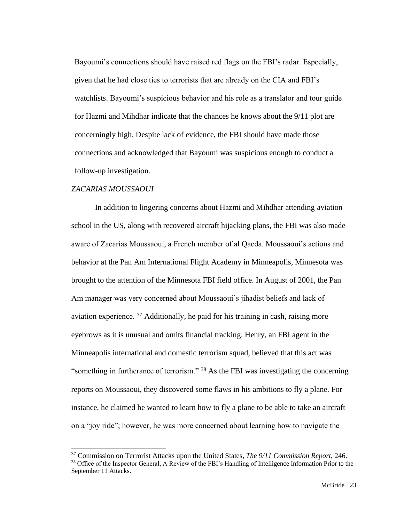Bayoumi's connections should have raised red flags on the FBI's radar. Especially, given that he had close ties to terrorists that are already on the CIA and FBI's watchlists. Bayoumi's suspicious behavior and his role as a translator and tour guide for Hazmi and Mihdhar indicate that the chances he knows about the 9/11 plot are concerningly high. Despite lack of evidence, the FBI should have made those connections and acknowledged that Bayoumi was suspicious enough to conduct a follow-up investigation.

#### *ZACARIAS MOUSSAOUI*

In addition to lingering concerns about Hazmi and Mihdhar attending aviation school in the US, along with recovered aircraft hijacking plans, the FBI was also made aware of Zacarias Moussaoui, a French member of al Qaeda. Moussaoui's actions and behavior at the Pan Am International Flight Academy in Minneapolis, Minnesota was brought to the attention of the Minnesota FBI field office. In August of 2001, the Pan Am manager was very concerned about Moussaoui's jihadist beliefs and lack of aviation experience. <sup>37</sup> Additionally, he paid for his training in cash, raising more eyebrows as it is unusual and omits financial tracking. Henry, an FBI agent in the Minneapolis international and domestic terrorism squad, believed that this act was "something in furtherance of terrorism."  $38$  As the FBI was investigating the concerning reports on Moussaoui, they discovered some flaws in his ambitions to fly a plane. For instance, he claimed he wanted to learn how to fly a plane to be able to take an aircraft on a "joy ride"; however, he was more concerned about learning how to navigate the

<sup>37</sup> Commission on Terrorist Attacks upon the United States, *The 9/11 Commission Report*, 246. <sup>38</sup> Office of the Inspector General, A Review of the FBI's Handling of Intelligence Information Prior to the September 11 Attacks.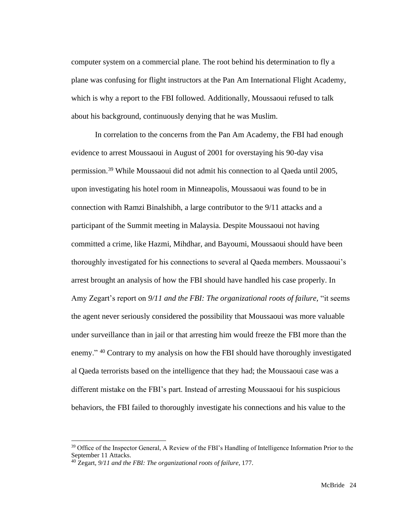computer system on a commercial plane. The root behind his determination to fly a plane was confusing for flight instructors at the Pan Am International Flight Academy, which is why a report to the FBI followed. Additionally, Moussaoui refused to talk about his background, continuously denying that he was Muslim.

In correlation to the concerns from the Pan Am Academy, the FBI had enough evidence to arrest Moussaoui in August of 2001 for overstaying his 90-day visa permission.<sup>39</sup> While Moussaoui did not admit his connection to al Qaeda until 2005, upon investigating his hotel room in Minneapolis, Moussaoui was found to be in connection with Ramzi Binalshibh, a large contributor to the 9/11 attacks and a participant of the Summit meeting in Malaysia. Despite Moussaoui not having committed a crime, like Hazmi, Mihdhar, and Bayoumi, Moussaoui should have been thoroughly investigated for his connections to several al Qaeda members. Moussaoui's arrest brought an analysis of how the FBI should have handled his case properly. In Amy Zegart's report on *9/11 and the FBI: The organizational roots of failure,* "it seems the agent never seriously considered the possibility that Moussaoui was more valuable under surveillance than in jail or that arresting him would freeze the FBI more than the enemy." <sup>40</sup> Contrary to my analysis on how the FBI should have thoroughly investigated al Qaeda terrorists based on the intelligence that they had; the Moussaoui case was a different mistake on the FBI's part. Instead of arresting Moussaoui for his suspicious behaviors, the FBI failed to thoroughly investigate his connections and his value to the

<sup>&</sup>lt;sup>39</sup> Office of the Inspector General, A Review of the FBI's Handling of Intelligence Information Prior to the September 11 Attacks.

<sup>40</sup> Zegart, *9/11 and the FBI: The organizational roots of failure,* 177.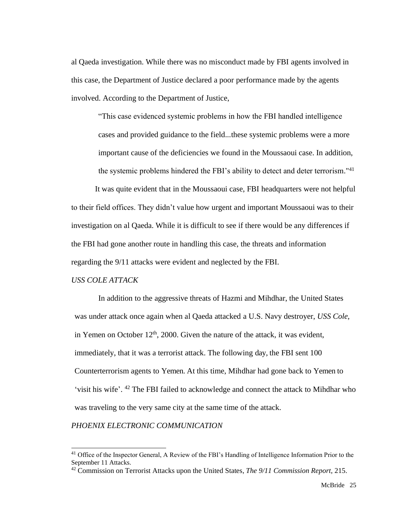al Qaeda investigation. While there was no misconduct made by FBI agents involved in this case, the Department of Justice declared a poor performance made by the agents involved. According to the Department of Justice,

"This case evidenced systemic problems in how the FBI handled intelligence cases and provided guidance to the field...these systemic problems were a more important cause of the deficiencies we found in the Moussaoui case. In addition, the systemic problems hindered the FBI's ability to detect and deter terrorism."<sup>41</sup>

It was quite evident that in the Moussaoui case, FBI headquarters were not helpful to their field offices. They didn't value how urgent and important Moussaoui was to their investigation on al Qaeda. While it is difficult to see if there would be any differences if the FBI had gone another route in handling this case, the threats and information regarding the 9/11 attacks were evident and neglected by the FBI.

#### *USS COLE ATTACK*

In addition to the aggressive threats of Hazmi and Mihdhar, the United States was under attack once again when al Qaeda attacked a U.S. Navy destroyer, *USS Cole,*  in Yemen on October  $12<sup>th</sup>$ , 2000. Given the nature of the attack, it was evident, immediately, that it was a terrorist attack. The following day, the FBI sent 100 Counterterrorism agents to Yemen. At this time, Mihdhar had gone back to Yemen to 'visit his wife'. <sup>42</sup> The FBI failed to acknowledge and connect the attack to Mihdhar who was traveling to the very same city at the same time of the attack.

#### *PHOENIX ELECTRONIC COMMUNICATION*

<sup>&</sup>lt;sup>41</sup> Office of the Inspector General, A Review of the FBI's Handling of Intelligence Information Prior to the September 11 Attacks.

<sup>42</sup> Commission on Terrorist Attacks upon the United States, *The 9/11 Commission Report*, 215.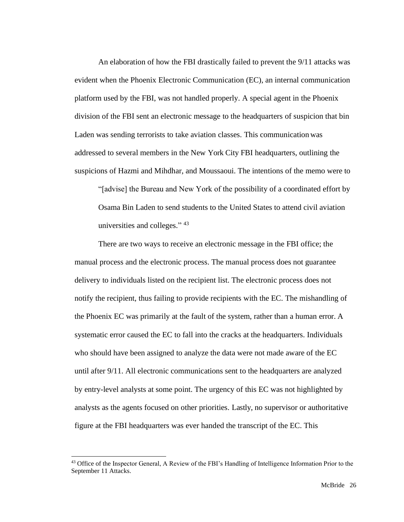An elaboration of how the FBI drastically failed to prevent the 9/11 attacks was evident when the Phoenix Electronic Communication (EC), an internal communication platform used by the FBI, was not handled properly. A special agent in the Phoenix division of the FBI sent an electronic message to the headquarters of suspicion that bin Laden was sending terrorists to take aviation classes. This communication was addressed to several members in the New York City FBI headquarters, outlining the suspicions of Hazmi and Mihdhar, and Moussaoui. The intentions of the memo were to

"[advise] the Bureau and New York of the possibility of a coordinated effort by Osama Bin Laden to send students to the United States to attend civil aviation universities and colleges." 43

There are two ways to receive an electronic message in the FBI office; the manual process and the electronic process. The manual process does not guarantee delivery to individuals listed on the recipient list. The electronic process does not notify the recipient, thus failing to provide recipients with the EC. The mishandling of the Phoenix EC was primarily at the fault of the system, rather than a human error. A systematic error caused the EC to fall into the cracks at the headquarters. Individuals who should have been assigned to analyze the data were not made aware of the EC until after 9/11. All electronic communications sent to the headquarters are analyzed by entry-level analysts at some point. The urgency of this EC was not highlighted by analysts as the agents focused on other priorities. Lastly, no supervisor or authoritative figure at the FBI headquarters was ever handed the transcript of the EC. This

<sup>&</sup>lt;sup>43</sup> Office of the Inspector General, A Review of the FBI's Handling of Intelligence Information Prior to the September 11 Attacks.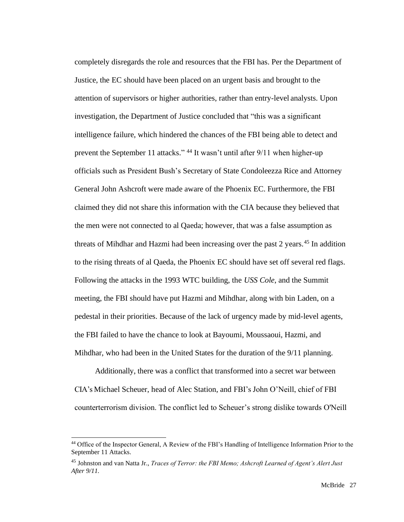completely disregards the role and resources that the FBI has. Per the Department of Justice, the EC should have been placed on an urgent basis and brought to the attention of supervisors or higher authorities, rather than entry-level analysts. Upon investigation, the Department of Justice concluded that "this was a significant intelligence failure, which hindered the chances of the FBI being able to detect and prevent the September 11 attacks." <sup>44</sup> It wasn't until after 9/11 when higher-up officials such as President Bush's Secretary of State Condoleezza Rice and Attorney General John Ashcroft were made aware of the Phoenix EC. Furthermore, the FBI claimed they did not share this information with the CIA because they believed that the men were not connected to al Qaeda; however, that was a false assumption as threats of Mihdhar and Hazmi had been increasing over the past 2 years.<sup>45</sup> In addition to the rising threats of al Qaeda, the Phoenix EC should have set off several red flags. Following the attacks in the 1993 WTC building, the *USS Cole*, and the Summit meeting, the FBI should have put Hazmi and Mihdhar, along with bin Laden, on a pedestal in their priorities. Because of the lack of urgency made by mid-level agents, the FBI failed to have the chance to look at Bayoumi, Moussaoui, Hazmi, and Mihdhar, who had been in the United States for the duration of the 9/11 planning.

Additionally, there was a conflict that transformed into a secret war between CIA's Michael Scheuer, head of Alec Station, and FBI's John O'Neill, chief of FBI counterterrorism division. The conflict led to Scheuer's strong dislike towards O'Neill

<sup>44</sup> Office of the Inspector General, A Review of the FBI's Handling of Intelligence Information Prior to the September 11 Attacks.

<sup>45</sup> Johnston and van Natta Jr., *Traces of Terror: the FBI Memo; Ashcroft Learned of Agent's Alert Just After 9/11.*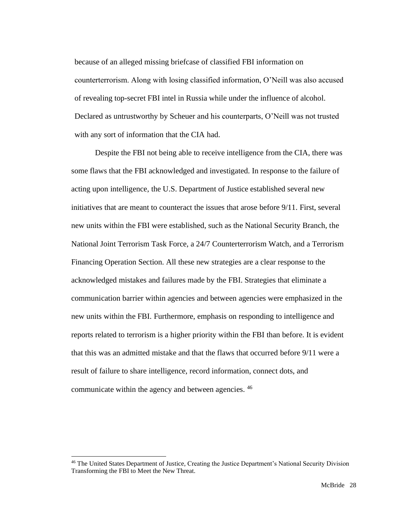because of an alleged missing briefcase of classified FBI information on counterterrorism. Along with losing classified information, O'Neill was also accused of revealing top-secret FBI intel in Russia while under the influence of alcohol. Declared as untrustworthy by Scheuer and his counterparts, O'Neill was not trusted with any sort of information that the CIA had.

Despite the FBI not being able to receive intelligence from the CIA, there was some flaws that the FBI acknowledged and investigated. In response to the failure of acting upon intelligence, the U.S. Department of Justice established several new initiatives that are meant to counteract the issues that arose before 9/11. First, several new units within the FBI were established, such as the National Security Branch, the National Joint Terrorism Task Force, a 24/7 Counterterrorism Watch, and a Terrorism Financing Operation Section. All these new strategies are a clear response to the acknowledged mistakes and failures made by the FBI. Strategies that eliminate a communication barrier within agencies and between agencies were emphasized in the new units within the FBI. Furthermore, emphasis on responding to intelligence and reports related to terrorism is a higher priority within the FBI than before. It is evident that this was an admitted mistake and that the flaws that occurred before 9/11 were a result of failure to share intelligence, record information, connect dots, and communicate within the agency and between agencies. <sup>46</sup>

<sup>46</sup> The United States Department of Justice, Creating the Justice Department's National Security Division Transforming the FBI to Meet the New Threat.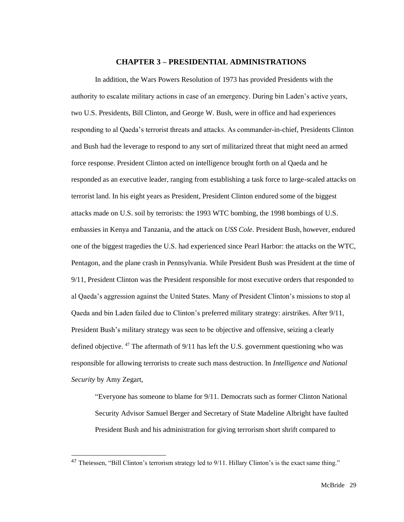#### **CHAPTER 3 – PRESIDENTIAL ADMINISTRATIONS**

In addition, the Wars Powers Resolution of 1973 has provided Presidents with the authority to escalate military actions in case of an emergency. During bin Laden's active years, two U.S. Presidents, Bill Clinton, and George W. Bush, were in office and had experiences responding to al Qaeda's terrorist threats and attacks. As commander-in-chief, Presidents Clinton and Bush had the leverage to respond to any sort of militarized threat that might need an armed force response. President Clinton acted on intelligence brought forth on al Qaeda and he responded as an executive leader, ranging from establishing a task force to large-scaled attacks on terrorist land. In his eight years as President, President Clinton endured some of the biggest attacks made on U.S. soil by terrorists: the 1993 WTC bombing, the 1998 bombings of U.S. embassies in Kenya and Tanzania, and the attack on *USS Cole*. President Bush, however, endured one of the biggest tragedies the U.S. had experienced since Pearl Harbor: the attacks on the WTC, Pentagon, and the plane crash in Pennsylvania. While President Bush was President at the time of 9/11, President Clinton was the President responsible for most executive orders that responded to al Qaeda's aggression against the United States. Many of President Clinton's missions to stop al Qaeda and bin Laden failed due to Clinton's preferred military strategy: airstrikes. After 9/11, President Bush's military strategy was seen to be objective and offensive, seizing a clearly defined objective.  $47$  The aftermath of  $9/11$  has left the U.S. government questioning who was responsible for allowing terrorists to create such mass destruction. In *Intelligence and National Security* by Amy Zegart,

"Everyone has someone to blame for 9/11. Democrats such as former Clinton National Security Advisor Samuel Berger and Secretary of State Madeline Albright have faulted President Bush and his administration for giving terrorism short shrift compared to

<sup>47</sup> Theiessen, "Bill Clinton's terrorism strategy led to 9/11. Hillary Clinton's is the exact same thing."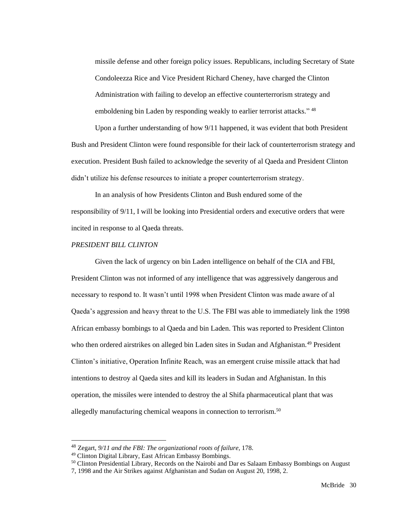missile defense and other foreign policy issues. Republicans, including Secretary of State Condoleezza Rice and Vice President Richard Cheney, have charged the Clinton Administration with failing to develop an effective counterterrorism strategy and emboldening bin Laden by responding weakly to earlier terrorist attacks."<sup>48</sup>

Upon a further understanding of how 9/11 happened, it was evident that both President Bush and President Clinton were found responsible for their lack of counterterrorism strategy and execution. President Bush failed to acknowledge the severity of al Qaeda and President Clinton didn't utilize his defense resources to initiate a proper counterterrorism strategy.

In an analysis of how Presidents Clinton and Bush endured some of the responsibility of 9/11, I will be looking into Presidential orders and executive orders that were incited in response to al Qaeda threats.

#### *PRESIDENT BILL CLINTON*

Given the lack of urgency on bin Laden intelligence on behalf of the CIA and FBI, President Clinton was not informed of any intelligence that was aggressively dangerous and necessary to respond to. It wasn't until 1998 when President Clinton was made aware of al Qaeda's aggression and heavy threat to the U.S. The FBI was able to immediately link the 1998 African embassy bombings to al Qaeda and bin Laden. This was reported to President Clinton who then ordered airstrikes on alleged bin Laden sites in Sudan and Afghanistan.<sup>49</sup> President Clinton's initiative, Operation Infinite Reach, was an emergent cruise missile attack that had intentions to destroy al Qaeda sites and kill its leaders in Sudan and Afghanistan. In this operation, the missiles were intended to destroy the al Shifa pharmaceutical plant that was allegedly manufacturing chemical weapons in connection to terrorism.<sup>50</sup>

<sup>48</sup> Zegart, *9/11 and the FBI: The organizational roots of failure,* 178.

<sup>49</sup> Clinton Digital Library, East African Embassy Bombings.

<sup>&</sup>lt;sup>50</sup> Clinton Presidential Library, Records on the Nairobi and Dar es Salaam Embassy Bombings on August

<sup>7, 1998</sup> and the Air Strikes against Afghanistan and Sudan on August 20, 1998, 2.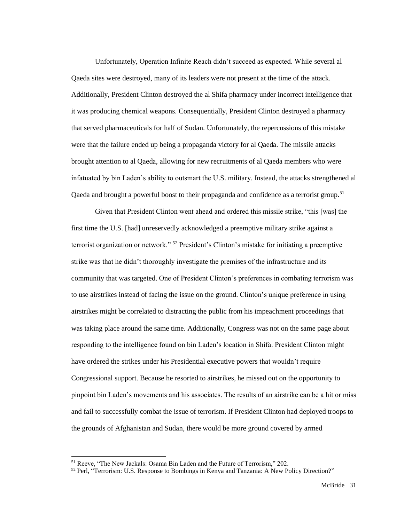Unfortunately, Operation Infinite Reach didn't succeed as expected. While several al Qaeda sites were destroyed, many of its leaders were not present at the time of the attack. Additionally, President Clinton destroyed the al Shifa pharmacy under incorrect intelligence that it was producing chemical weapons. Consequentially, President Clinton destroyed a pharmacy that served pharmaceuticals for half of Sudan. Unfortunately, the repercussions of this mistake were that the failure ended up being a propaganda victory for al Qaeda. The missile attacks brought attention to al Qaeda, allowing for new recruitments of al Qaeda members who were infatuated by bin Laden's ability to outsmart the U.S. military. Instead, the attacks strengthened al Qaeda and brought a powerful boost to their propaganda and confidence as a terrorist group.<sup>51</sup>

Given that President Clinton went ahead and ordered this missile strike, "this [was] the first time the U.S. [had] unreservedly acknowledged a preemptive military strike against a terrorist organization or network." <sup>52</sup> President's Clinton's mistake for initiating a preemptive strike was that he didn't thoroughly investigate the premises of the infrastructure and its community that was targeted. One of President Clinton's preferences in combating terrorism was to use airstrikes instead of facing the issue on the ground. Clinton's unique preference in using airstrikes might be correlated to distracting the public from his impeachment proceedings that was taking place around the same time. Additionally, Congress was not on the same page about responding to the intelligence found on bin Laden's location in Shifa. President Clinton might have ordered the strikes under his Presidential executive powers that wouldn't require Congressional support. Because he resorted to airstrikes, he missed out on the opportunity to pinpoint bin Laden's movements and his associates. The results of an airstrike can be a hit or miss and fail to successfully combat the issue of terrorism. If President Clinton had deployed troops to the grounds of Afghanistan and Sudan, there would be more ground covered by armed

<sup>51</sup> Reeve, "The New Jackals: Osama Bin Laden and the Future of Terrorism," 202.

<sup>52</sup> Perl, "Terrorism: U.S. Response to Bombings in Kenya and Tanzania: A New Policy Direction?"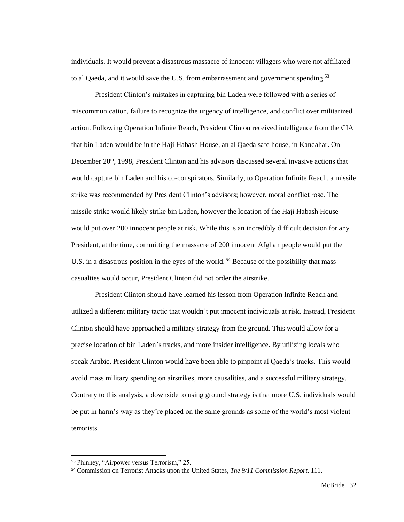individuals. It would prevent a disastrous massacre of innocent villagers who were not affiliated to al Qaeda, and it would save the U.S. from embarrassment and government spending.<sup>53</sup>

President Clinton's mistakes in capturing bin Laden were followed with a series of miscommunication, failure to recognize the urgency of intelligence, and conflict over militarized action. Following Operation Infinite Reach, President Clinton received intelligence from the CIA that bin Laden would be in the Haji Habash House, an al Qaeda safe house, in Kandahar. On December  $20<sup>th</sup>$ , 1998, President Clinton and his advisors discussed several invasive actions that would capture bin Laden and his co-conspirators. Similarly, to Operation Infinite Reach, a missile strike was recommended by President Clinton's advisors; however, moral conflict rose. The missile strike would likely strike bin Laden, however the location of the Haji Habash House would put over 200 innocent people at risk. While this is an incredibly difficult decision for any President, at the time, committing the massacre of 200 innocent Afghan people would put the U.S. in a disastrous position in the eyes of the world.<sup>54</sup> Because of the possibility that mass casualties would occur, President Clinton did not order the airstrike.

President Clinton should have learned his lesson from Operation Infinite Reach and utilized a different military tactic that wouldn't put innocent individuals at risk. Instead, President Clinton should have approached a military strategy from the ground. This would allow for a precise location of bin Laden's tracks, and more insider intelligence. By utilizing locals who speak Arabic, President Clinton would have been able to pinpoint al Qaeda's tracks. This would avoid mass military spending on airstrikes, more causalities, and a successful military strategy. Contrary to this analysis, a downside to using ground strategy is that more U.S. individuals would be put in harm's way as they're placed on the same grounds as some of the world's most violent terrorists.

<sup>53</sup> Phinney, "Airpower versus Terrorism," 25.

<sup>54</sup> Commission on Terrorist Attacks upon the United States, *The 9/11 Commission Report*, 111.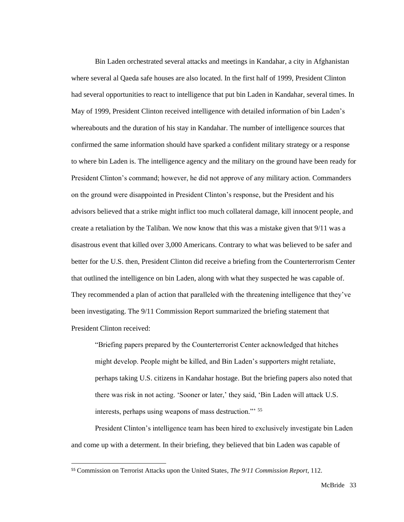Bin Laden orchestrated several attacks and meetings in Kandahar, a city in Afghanistan where several al Qaeda safe houses are also located. In the first half of 1999, President Clinton had several opportunities to react to intelligence that put bin Laden in Kandahar, several times. In May of 1999, President Clinton received intelligence with detailed information of bin Laden's whereabouts and the duration of his stay in Kandahar. The number of intelligence sources that confirmed the same information should have sparked a confident military strategy or a response to where bin Laden is. The intelligence agency and the military on the ground have been ready for President Clinton's command; however, he did not approve of any military action. Commanders on the ground were disappointed in President Clinton's response, but the President and his advisors believed that a strike might inflict too much collateral damage, kill innocent people, and create a retaliation by the Taliban. We now know that this was a mistake given that 9/11 was a disastrous event that killed over 3,000 Americans. Contrary to what was believed to be safer and better for the U.S. then, President Clinton did receive a briefing from the Counterterrorism Center that outlined the intelligence on bin Laden, along with what they suspected he was capable of. They recommended a plan of action that paralleled with the threatening intelligence that they've been investigating. The 9/11 Commission Report summarized the briefing statement that President Clinton received:

"Briefing papers prepared by the Counterterrorist Center acknowledged that hitches might develop. People might be killed, and Bin Laden's supporters might retaliate, perhaps taking U.S. citizens in Kandahar hostage. But the briefing papers also noted that there was risk in not acting. 'Sooner or later,' they said, 'Bin Laden will attack U.S. interests, perhaps using weapons of mass destruction."' <sup>55</sup>

President Clinton's intelligence team has been hired to exclusively investigate bin Laden and come up with a determent. In their briefing, they believed that bin Laden was capable of

<sup>55</sup> Commission on Terrorist Attacks upon the United States, *The 9/11 Commission Report*, 112.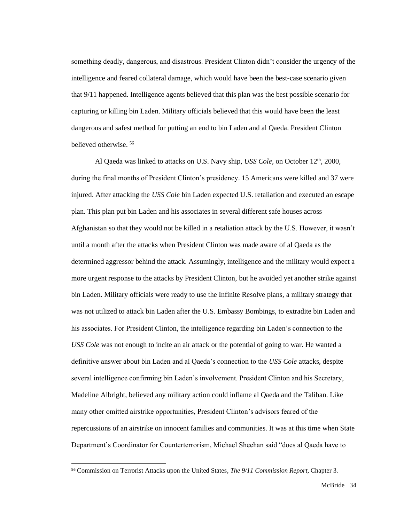something deadly, dangerous, and disastrous. President Clinton didn't consider the urgency of the intelligence and feared collateral damage, which would have been the best-case scenario given that 9/11 happened. Intelligence agents believed that this plan was the best possible scenario for capturing or killing bin Laden. Military officials believed that this would have been the least dangerous and safest method for putting an end to bin Laden and al Qaeda. President Clinton believed otherwise. <sup>56</sup>

Al Qaeda was linked to attacks on U.S. Navy ship, *USS Cole*, on October 12<sup>th</sup>, 2000, during the final months of President Clinton's presidency. 15 Americans were killed and 37 were injured. After attacking the *USS Cole* bin Laden expected U.S. retaliation and executed an escape plan. This plan put bin Laden and his associates in several different safe houses across Afghanistan so that they would not be killed in a retaliation attack by the U.S. However, it wasn't until a month after the attacks when President Clinton was made aware of al Qaeda as the determined aggressor behind the attack. Assumingly, intelligence and the military would expect a more urgent response to the attacks by President Clinton, but he avoided yet another strike against bin Laden. Military officials were ready to use the Infinite Resolve plans, a military strategy that was not utilized to attack bin Laden after the U.S. Embassy Bombings, to extradite bin Laden and his associates. For President Clinton, the intelligence regarding bin Laden's connection to the *USS Cole* was not enough to incite an air attack or the potential of going to war. He wanted a definitive answer about bin Laden and al Qaeda's connection to the *USS Cole* attacks, despite several intelligence confirming bin Laden's involvement. President Clinton and his Secretary, Madeline Albright, believed any military action could inflame al Qaeda and the Taliban. Like many other omitted airstrike opportunities, President Clinton's advisors feared of the repercussions of an airstrike on innocent families and communities. It was at this time when State Department's Coordinator for Counterterrorism, Michael Sheehan said "does al Qaeda have to

<sup>56</sup> Commission on Terrorist Attacks upon the United States, *The 9/11 Commission Report*, Chapter 3.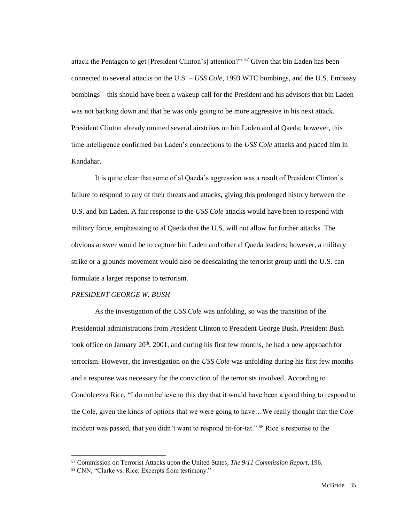attack the Pentagon to get [President Clinton's] attention?" <sup>57</sup> Given that bin Laden has been connected to several attacks on the U.S. – *USS Cole,* 1993 WTC bombings, and the U.S. Embassy bombings – this should have been a wakeup call for the President and his advisors that bin Laden was not backing down and that he was only going to be more aggressive in his next attack. President Clinton already omitted several airstrikes on bin Laden and al Qaeda; however, this time intelligence confirmed bin Laden's connections to the *USS Cole* attacks and placed him in Kandahar.

It is quite clear that some of al Qaeda's aggression was a result of President Clinton's failure to respond to any of their threats and attacks, giving this prolonged history between the U.S. and bin Laden. A fair response to the *USS Cole* attacks would have been to respond with military force, emphasizing to al Qaeda that the U.S. will not allow for further attacks. The obvious answer would be to capture bin Laden and other al Qaeda leaders; however, a military strike or a grounds movement would also be deescalating the terrorist group until the U.S. can formulate a larger response to terrorism.

#### *PRESIDENT GEORGE W. BUSH*

As the investigation of the *USS Cole* was unfolding, so was the transition of the Presidential administrations from President Clinton to President George Bush. President Bush took office on January  $20<sup>th</sup>$ ,  $2001$ , and during his first few months, he had a new approach for terrorism. However, the investigation on the *USS Cole* was unfolding during his first few months and a response was necessary for the conviction of the terrorists involved. According to Condoleezza Rice, "I do not believe to this day that it would have been a good thing to respond to the Cole, given the kinds of options that we were going to have…We really thought that the Cole incident was passed, that you didn't want to respond tit-for-tat." <sup>58</sup> Rice's response to the

<sup>57</sup> Commission on Terrorist Attacks upon the United States, *The 9/11 Commission Report*, 196.

<sup>58</sup> CNN, "Clarke vs. Rice: Excerpts from testimony."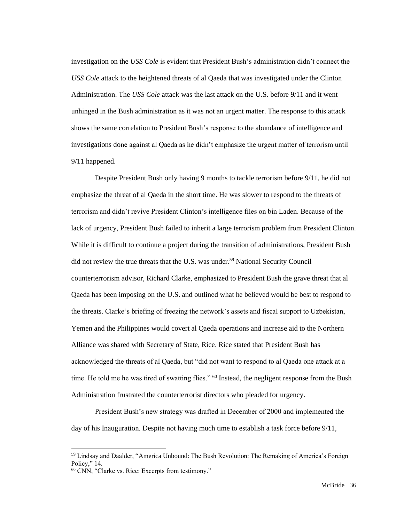investigation on the *USS Cole* is evident that President Bush's administration didn't connect the *USS Cole* attack to the heightened threats of al Qaeda that was investigated under the Clinton Administration. The *USS Cole* attack was the last attack on the U.S. before 9/11 and it went unhinged in the Bush administration as it was not an urgent matter. The response to this attack shows the same correlation to President Bush's response to the abundance of intelligence and investigations done against al Qaeda as he didn't emphasize the urgent matter of terrorism until 9/11 happened.

Despite President Bush only having 9 months to tackle terrorism before 9/11, he did not emphasize the threat of al Qaeda in the short time. He was slower to respond to the threats of terrorism and didn't revive President Clinton's intelligence files on bin Laden. Because of the lack of urgency, President Bush failed to inherit a large terrorism problem from President Clinton. While it is difficult to continue a project during the transition of administrations, President Bush did not review the true threats that the U.S. was under.<sup>59</sup> National Security Council counterterrorism advisor, Richard Clarke, emphasized to President Bush the grave threat that al Qaeda has been imposing on the U.S. and outlined what he believed would be best to respond to the threats. Clarke's briefing of freezing the network's assets and fiscal support to Uzbekistan, Yemen and the Philippines would covert al Qaeda operations and increase aid to the Northern Alliance was shared with Secretary of State, Rice. Rice stated that President Bush has acknowledged the threats of al Qaeda, but "did not want to respond to al Qaeda one attack at a time. He told me he was tired of swatting flies." <sup>60</sup> Instead, the negligent response from the Bush Administration frustrated the counterterrorist directors who pleaded for urgency.

President Bush's new strategy was drafted in December of 2000 and implemented the day of his Inauguration. Despite not having much time to establish a task force before 9/11,

<sup>&</sup>lt;sup>59</sup> Lindsay and Daalder, "America Unbound: The Bush Revolution: The Remaking of America's Foreign Policy," 14.

<sup>60</sup> CNN, "Clarke vs. Rice: Excerpts from testimony."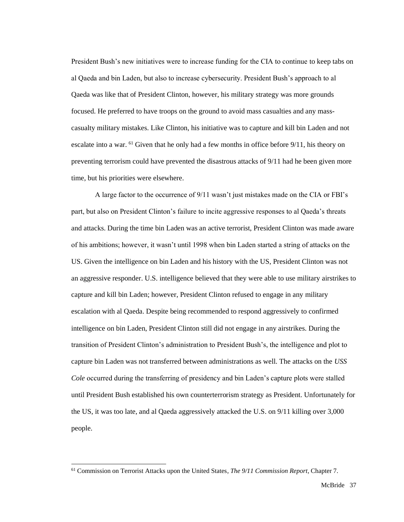President Bush's new initiatives were to increase funding for the CIA to continue to keep tabs on al Qaeda and bin Laden, but also to increase cybersecurity. President Bush's approach to al Qaeda was like that of President Clinton, however, his military strategy was more grounds focused. He preferred to have troops on the ground to avoid mass casualties and any masscasualty military mistakes. Like Clinton, his initiative was to capture and kill bin Laden and not escalate into a war. <sup>61</sup> Given that he only had a few months in office before 9/11, his theory on preventing terrorism could have prevented the disastrous attacks of 9/11 had he been given more time, but his priorities were elsewhere.

A large factor to the occurrence of 9/11 wasn't just mistakes made on the CIA or FBI's part, but also on President Clinton's failure to incite aggressive responses to al Qaeda's threats and attacks. During the time bin Laden was an active terrorist, President Clinton was made aware of his ambitions; however, it wasn't until 1998 when bin Laden started a string of attacks on the US. Given the intelligence on bin Laden and his history with the US, President Clinton was not an aggressive responder. U.S. intelligence believed that they were able to use military airstrikes to capture and kill bin Laden; however, President Clinton refused to engage in any military escalation with al Qaeda. Despite being recommended to respond aggressively to confirmed intelligence on bin Laden, President Clinton still did not engage in any airstrikes. During the transition of President Clinton's administration to President Bush's, the intelligence and plot to capture bin Laden was not transferred between administrations as well. The attacks on the *USS Cole* occurred during the transferring of presidency and bin Laden's capture plots were stalled until President Bush established his own counterterrorism strategy as President. Unfortunately for the US, it was too late, and al Qaeda aggressively attacked the U.S. on 9/11 killing over 3,000 people.

<sup>61</sup> Commission on Terrorist Attacks upon the United States, *The 9/11 Commission Report*, Chapter 7.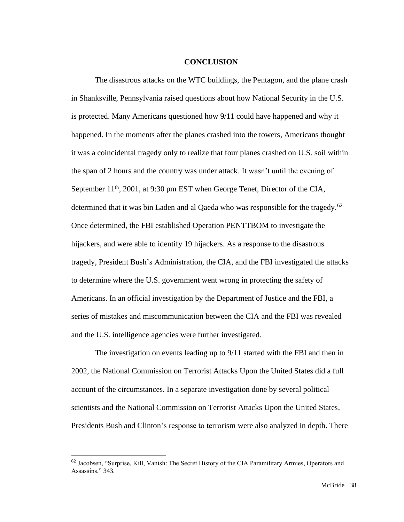#### **CONCLUSION**

The disastrous attacks on the WTC buildings, the Pentagon, and the plane crash in Shanksville, Pennsylvania raised questions about how National Security in the U.S. is protected. Many Americans questioned how 9/11 could have happened and why it happened. In the moments after the planes crashed into the towers, Americans thought it was a coincidental tragedy only to realize that four planes crashed on U.S. soil within the span of 2 hours and the country was under attack. It wasn't until the evening of September 11<sup>th</sup>, 2001, at 9:30 pm EST when George Tenet, Director of the CIA, determined that it was bin Laden and al Qaeda who was responsible for the tragedy.<sup>62</sup> Once determined, the FBI established Operation PENTTBOM to investigate the hijackers, and were able to identify 19 hijackers. As a response to the disastrous tragedy, President Bush's Administration, the CIA, and the FBI investigated the attacks to determine where the U.S. government went wrong in protecting the safety of Americans. In an official investigation by the Department of Justice and the FBI, a series of mistakes and miscommunication between the CIA and the FBI was revealed and the U.S. intelligence agencies were further investigated.

The investigation on events leading up to 9/11 started with the FBI and then in 2002, the National Commission on Terrorist Attacks Upon the United States did a full account of the circumstances. In a separate investigation done by several political scientists and the National Commission on Terrorist Attacks Upon the United States, Presidents Bush and Clinton's response to terrorism were also analyzed in depth. There

<sup>&</sup>lt;sup>62</sup> Jacobsen, "Surprise, Kill, Vanish: The Secret History of the CIA Paramilitary Armies, Operators and Assassins," 343.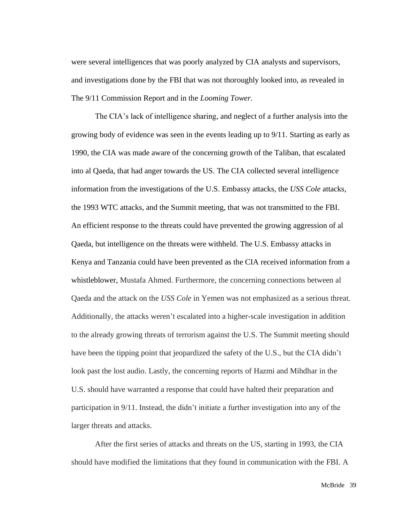were several intelligences that was poorly analyzed by CIA analysts and supervisors, and investigations done by the FBI that was not thoroughly looked into, as revealed in The 9/11 Commission Report and in the *Looming Tower.* 

The CIA's lack of intelligence sharing, and neglect of a further analysis into the growing body of evidence was seen in the events leading up to 9/11. Starting as early as 1990, the CIA was made aware of the concerning growth of the Taliban, that escalated into al Qaeda, that had anger towards the US. The CIA collected several intelligence information from the investigations of the U.S. Embassy attacks, the *USS Cole* attacks, the 1993 WTC attacks, and the Summit meeting, that was not transmitted to the FBI. An efficient response to the threats could have prevented the growing aggression of al Qaeda, but intelligence on the threats were withheld. The U.S. Embassy attacks in Kenya and Tanzania could have been prevented as the CIA received information from a whistleblower, Mustafa Ahmed. Furthermore, the concerning connections between al Qaeda and the attack on the *USS Cole* in Yemen was not emphasized as a serious threat. Additionally, the attacks weren't escalated into a higher-scale investigation in addition to the already growing threats of terrorism against the U.S. The Summit meeting should have been the tipping point that jeopardized the safety of the U.S., but the CIA didn't look past the lost audio. Lastly, the concerning reports of Hazmi and Mihdhar in the U.S. should have warranted a response that could have halted their preparation and participation in 9/11. Instead, the didn't initiate a further investigation into any of the larger threats and attacks.

After the first series of attacks and threats on the US, starting in 1993, the CIA should have modified the limitations that they found in communication with the FBI. A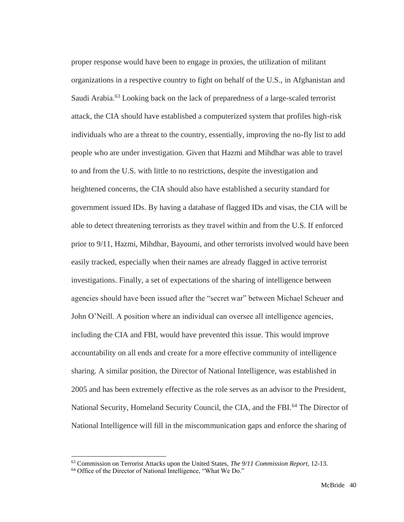proper response would have been to engage in proxies, the utilization of militant organizations in a respective country to fight on behalf of the U.S., in Afghanistan and Saudi Arabia.<sup>63</sup> Looking back on the lack of preparedness of a large-scaled terrorist attack, the CIA should have established a computerized system that profiles high-risk individuals who are a threat to the country, essentially, improving the no-fly list to add people who are under investigation. Given that Hazmi and Mihdhar was able to travel to and from the U.S. with little to no restrictions, despite the investigation and heightened concerns, the CIA should also have established a security standard for government issued IDs. By having a database of flagged IDs and visas, the CIA will be able to detect threatening terrorists as they travel within and from the U.S. If enforced prior to 9/11, Hazmi, Mihdhar, Bayoumi, and other terrorists involved would have been easily tracked, especially when their names are already flagged in active terrorist investigations. Finally, a set of expectations of the sharing of intelligence between agencies should have been issued after the "secret war" between Michael Scheuer and John O'Neill. A position where an individual can oversee all intelligence agencies, including the CIA and FBI, would have prevented this issue. This would improve accountability on all ends and create for a more effective community of intelligence sharing. A similar position, the Director of National Intelligence, was established in 2005 and has been extremely effective as the role serves as an advisor to the President, National Security, Homeland Security Council, the CIA, and the FBI.<sup>64</sup> The Director of National Intelligence will fill in the miscommunication gaps and enforce the sharing of

<sup>63</sup> Commission on Terrorist Attacks upon the United States, *The 9/11 Commission Report*, 12-13.

<sup>64</sup> Office of the Director of National Intelligence, "What We Do."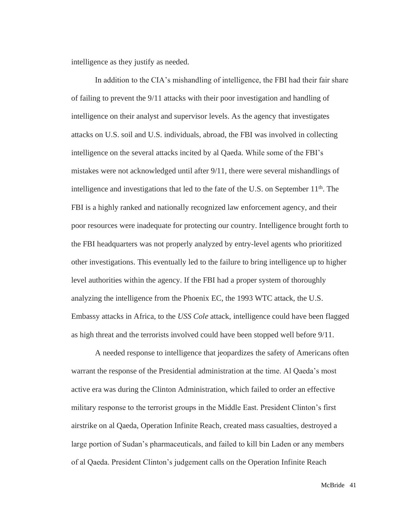intelligence as they justify as needed.

In addition to the CIA's mishandling of intelligence, the FBI had their fair share of failing to prevent the 9/11 attacks with their poor investigation and handling of intelligence on their analyst and supervisor levels. As the agency that investigates attacks on U.S. soil and U.S. individuals, abroad, the FBI was involved in collecting intelligence on the several attacks incited by al Qaeda. While some of the FBI's mistakes were not acknowledged until after 9/11, there were several mishandlings of intelligence and investigations that led to the fate of the U.S. on September  $11<sup>th</sup>$ . The FBI is a highly ranked and nationally recognized law enforcement agency, and their poor resources were inadequate for protecting our country. Intelligence brought forth to the FBI headquarters was not properly analyzed by entry-level agents who prioritized other investigations. This eventually led to the failure to bring intelligence up to higher level authorities within the agency. If the FBI had a proper system of thoroughly analyzing the intelligence from the Phoenix EC, the 1993 WTC attack, the U.S. Embassy attacks in Africa, to the *USS Cole* attack*,* intelligence could have been flagged as high threat and the terrorists involved could have been stopped well before 9/11.

A needed response to intelligence that jeopardizes the safety of Americans often warrant the response of the Presidential administration at the time. Al Qaeda's most active era was during the Clinton Administration, which failed to order an effective military response to the terrorist groups in the Middle East. President Clinton's first airstrike on al Qaeda, Operation Infinite Reach, created mass casualties, destroyed a large portion of Sudan's pharmaceuticals, and failed to kill bin Laden or any members of al Qaeda. President Clinton's judgement calls on the Operation Infinite Reach

McBride 41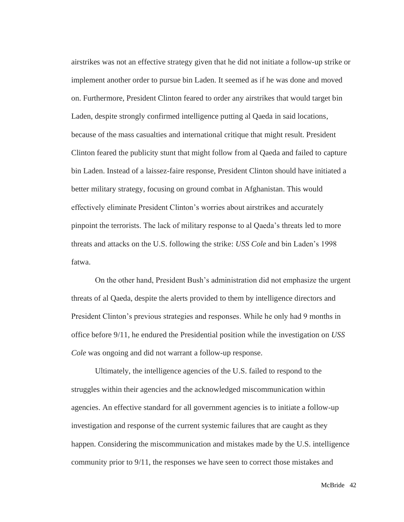airstrikes was not an effective strategy given that he did not initiate a follow-up strike or implement another order to pursue bin Laden. It seemed as if he was done and moved on. Furthermore, President Clinton feared to order any airstrikes that would target bin Laden, despite strongly confirmed intelligence putting al Qaeda in said locations, because of the mass casualties and international critique that might result. President Clinton feared the publicity stunt that might follow from al Qaeda and failed to capture bin Laden. Instead of a laissez-faire response, President Clinton should have initiated a better military strategy, focusing on ground combat in Afghanistan. This would effectively eliminate President Clinton's worries about airstrikes and accurately pinpoint the terrorists. The lack of military response to al Qaeda's threats led to more threats and attacks on the U.S. following the strike: *USS Cole* and bin Laden's 1998 fatwa.

On the other hand, President Bush's administration did not emphasize the urgent threats of al Qaeda, despite the alerts provided to them by intelligence directors and President Clinton's previous strategies and responses. While he only had 9 months in office before 9/11, he endured the Presidential position while the investigation on *USS Cole* was ongoing and did not warrant a follow-up response.

Ultimately, the intelligence agencies of the U.S. failed to respond to the struggles within their agencies and the acknowledged miscommunication within agencies. An effective standard for all government agencies is to initiate a follow-up investigation and response of the current systemic failures that are caught as they happen. Considering the miscommunication and mistakes made by the U.S. intelligence community prior to 9/11, the responses we have seen to correct those mistakes and

McBride 42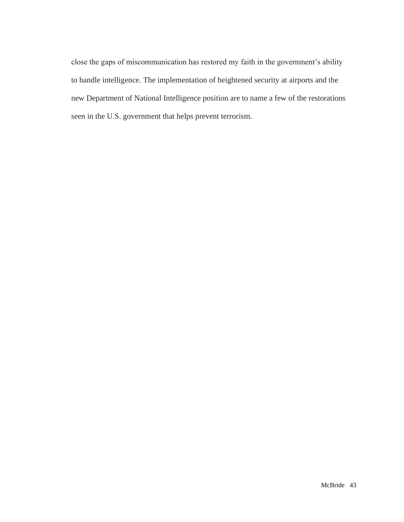close the gaps of miscommunication has restored my faith in the government's ability to handle intelligence. The implementation of heightened security at airports and the new Department of National Intelligence position are to name a few of the restorations seen in the U.S. government that helps prevent terrorism.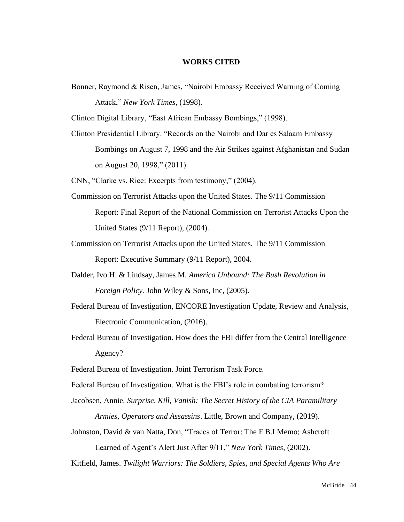#### **WORKS CITED**

Bonner, Raymond & Risen, James, "Nairobi Embassy Received Warning of Coming Attack," *New York Times,* (1998).

Clinton Digital Library, "East African Embassy Bombings," (1998).

Clinton Presidential Library. "Records on the Nairobi and Dar es Salaam Embassy Bombings on August 7, 1998 and the Air Strikes against Afghanistan and Sudan on August 20, 1998," (2011).

CNN, "Clarke vs. Rice: Excerpts from testimony," (2004).

- Commission on Terrorist Attacks upon the United States. The 9/11 Commission Report: Final Report of the National Commission on Terrorist Attacks Upon the United States (9/11 Report), (2004).
- Commission on Terrorist Attacks upon the United States. The 9/11 Commission Report: Executive Summary (9/11 Report), 2004.
- Dalder, Ivo H. & Lindsay, James M. *America Unbound: The Bush Revolution in Foreign Policy.* John Wiley & Sons, Inc. (2005).
- Federal Bureau of Investigation, ENCORE Investigation Update, Review and Analysis, Electronic Communication, (2016).
- Federal Bureau of Investigation. How does the FBI differ from the Central Intelligence Agency?

Federal Bureau of Investigation. Joint Terrorism Task Force.

- Federal Bureau of Investigation. What is the FBI's role in combating terrorism?
- Jacobsen, Annie. *Surprise, Kill, Vanish: The Secret History of the CIA Paramilitary Armies, Operators and Assassins*. Little, Brown and Company, (2019).
- Johnston, David & van Natta, Don, "Traces of Terror: The F.B.I Memo; Ashcroft Learned of Agent's Alert Just After 9/11," *New York Times,* (2002).

Kitfield, James. *Twilight Warriors: The Soldiers, Spies, and Special Agents Who Are*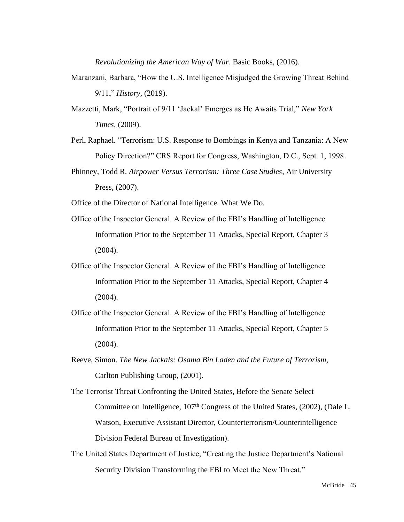*Revolutionizing the American Way of War*. Basic Books, (2016).

- Maranzani, Barbara, "How the U.S. Intelligence Misjudged the Growing Threat Behind 9/11," *History,* (2019).
- Mazzetti, Mark, "Portrait of 9/11 'Jackal' Emerges as He Awaits Trial," *New York Times,* (2009).
- Perl, Raphael. "Terrorism: U.S. Response to Bombings in Kenya and Tanzania: A New Policy Direction?" CRS Report for Congress, Washington, D.C., Sept. 1, 1998.
- Phinney, Todd R. *Airpower Versus Terrorism: Three Case Studies*, Air University Press, (2007).

Office of the Director of National Intelligence. What We Do.

- Office of the Inspector General. A Review of the FBI's Handling of Intelligence Information Prior to the September 11 Attacks, Special Report, Chapter 3 (2004).
- Office of the Inspector General. A Review of the FBI's Handling of Intelligence Information Prior to the September 11 Attacks, Special Report, Chapter 4 (2004).
- Office of the Inspector General. A Review of the FBI's Handling of Intelligence Information Prior to the September 11 Attacks, Special Report, Chapter 5 (2004).
- Reeve, Simon. *The New Jackals: Osama Bin Laden and the Future of Terrorism,* Carlton Publishing Group, (2001).
- The Terrorist Threat Confronting the United States, Before the Senate Select Committee on Intelligence, 107<sup>th</sup> Congress of the United States, (2002), (Dale L. Watson, Executive Assistant Director, Counterterrorism/Counterintelligence Division Federal Bureau of Investigation).
- The United States Department of Justice, "Creating the Justice Department's National Security Division Transforming the FBI to Meet the New Threat."